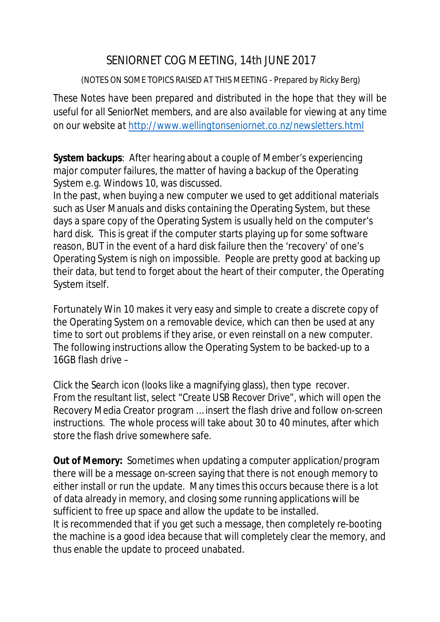## SENIORNET COG MEETING, 14th JUNE 2017

## (NOTES ON SOME TOPICS RAISED AT THIS MEETING - Prepared by Ricky Berg)

*These Notes have been prepared and distributed in the hope that they will be useful for all SeniorNet members, and are also available for viewing at any time on our website at <http://www.wellingtonseniornet.co.nz/newsletters.html>*

**System backups**: After hearing about a couple of Member's experiencing major computer failures, the matter of having a backup of the Operating System e.g. Windows 10, was discussed.

In the past, when buying a new computer we used to get additional materials such as User Manuals and disks containing the Operating System, but these days a spare copy of the Operating System is usually held on the computer's hard disk. This is great if the computer starts playing up for some software reason, BUT in the event of a hard disk failure then the 'recovery' of one's Operating System is nigh on impossible. People are pretty good at backing up their data, but tend to forget about the heart of their computer, the Operating System itself.

Fortunately Win 10 makes it very easy and simple to create a discrete copy of the Operating System on a removable device, which can then be used at any time to sort out problems if they arise, or even reinstall on a new computer. The following instructions allow the Operating System to be backed-up to a 16GB flash drive –

Click the *Search* icon (looks like a magnifying glass), then type *recover*. From the resultant list, select "*Create USB Recover Drive"*, which will open the Recovery Media Creator program … insert the flash drive and follow on-screen instructions. The whole process will take about 30 to 40 minutes, after which store the flash drive somewhere safe.

**Out of Memory:** Sometimes when updating a computer application/program there will be a message on-screen saying that there is not enough memory to either install or run the update. Many times this occurs because there is a lot of data already in memory, and closing some running applications will be sufficient to free up space and allow the update to be installed. It is recommended that if you get such a message, then completely re-booting the machine is a good idea because that will completely clear the memory, and thus enable the update to proceed unabated.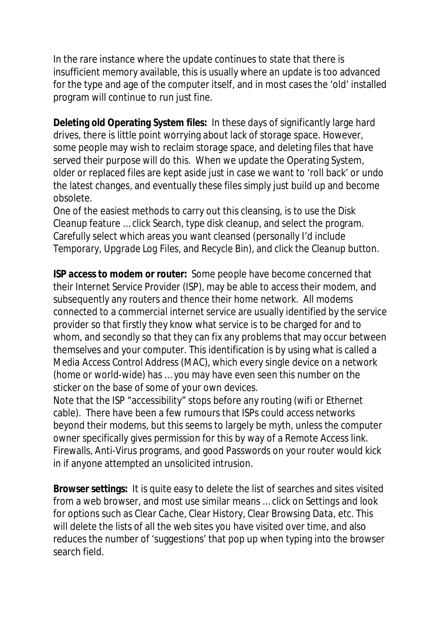In the rare instance where the update continues to state that there is insufficient memory available, this is usually where an update is too advanced for the type and age of the computer itself, and in most cases the 'old' installed program will continue to run just fine.

**Deleting old Operating System files:** In these days of significantly large hard drives, there is little point worrying about lack of storage space. However, some people may wish to reclaim storage space, and deleting files that have served their purpose will do this. When we update the Operating System, older or replaced files are kept aside just in case we want to 'roll back' or undo the latest changes, and eventually these files simply just build up and become obsolete.

One of the easiest methods to carry out this cleansing, is to use the *Disk Cleanup* feature … click Search, type *disk cleanup*, and select the program. Carefully select which areas you want cleansed (personally I'd include *Temporary, Upgrade Log Files,* and *Recycle Bin*), and click the *Cleanup* button.

**ISP access to modem or router:** Some people have become concerned that their Internet Service Provider (ISP), may be able to access their modem, and subsequently any routers and thence their home network. All modems connected to a commercial internet service are usually identified by the service provider so that firstly they know what service is to be charged for and to whom, and secondly so that they can fix any problems that may occur between themselves and your computer. This identification is by using what is called a *Media Access Control Address* (MAC), which every single device on a network (home or world-wide) has … you may have even seen this number on the sticker on the base of some of your own devices.

Note that the ISP "accessibility" stops before any routing (wifi or Ethernet cable). There have been a few rumours that ISPs could access networks beyond their modems, but this seems to largely be myth, unless the computer owner specifically gives permission for this by way of a Remote Access link. Firewalls, Anti-Virus programs, and good Passwords on your router would kick in if anyone attempted an unsolicited intrusion.

**Browser settings:** It is quite easy to delete the list of searches and sites visited from a web browser, and most use similar means … click on *Settings* and look for options such as *Clear Cache, Clear History, Clear Browsing Data*, etc. This will delete the lists of all the web sites you have visited over time, and also reduces the number of 'suggestions' that pop up when typing into the browser search field.